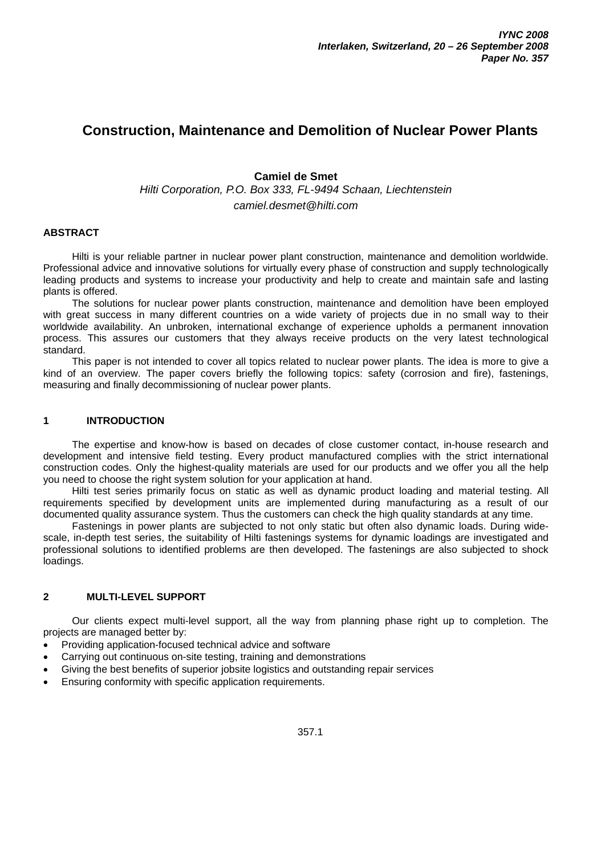# **Construction, Maintenance and Demolition of Nuclear Power Plants**

# **Camiel de Smet**

*Hilti Corporation, P.O. Box 333, FL-9494 Schaan, Liechtenstein* 

# *camiel.desmet@hilti.com*

# **ABSTRACT**

Hilti is your reliable partner in nuclear power plant construction, maintenance and demolition worldwide. Professional advice and innovative solutions for virtually every phase of construction and supply technologically leading products and systems to increase your productivity and help to create and maintain safe and lasting plants is offered.

The solutions for nuclear power plants construction, maintenance and demolition have been employed with great success in many different countries on a wide variety of projects due in no small way to their worldwide availability. An unbroken, international exchange of experience upholds a permanent innovation process. This assures our customers that they always receive products on the very latest technological standard.

This paper is not intended to cover all topics related to nuclear power plants. The idea is more to give a kind of an overview. The paper covers briefly the following topics: safety (corrosion and fire), fastenings, measuring and finally decommissioning of nuclear power plants.

## **1 INTRODUCTION**

The expertise and know-how is based on decades of close customer contact, in-house research and development and intensive field testing. Every product manufactured complies with the strict international construction codes. Only the highest-quality materials are used for our products and we offer you all the help you need to choose the right system solution for your application at hand.

Hilti test series primarily focus on static as well as dynamic product loading and material testing. All requirements specified by development units are implemented during manufacturing as a result of our documented quality assurance system. Thus the customers can check the high quality standards at any time.

Fastenings in power plants are subjected to not only static but often also dynamic loads. During widescale, in-depth test series, the suitability of Hilti fastenings systems for dynamic loadings are investigated and professional solutions to identified problems are then developed. The fastenings are also subjected to shock loadings.

## **2 MULTI-LEVEL SUPPORT**

Our clients expect multi-level support, all the way from planning phase right up to completion. The projects are managed better by:

- Providing application-focused technical advice and software
- Carrying out continuous on-site testing, training and demonstrations
- Giving the best benefits of superior jobsite logistics and outstanding repair services
- Ensuring conformity with specific application requirements.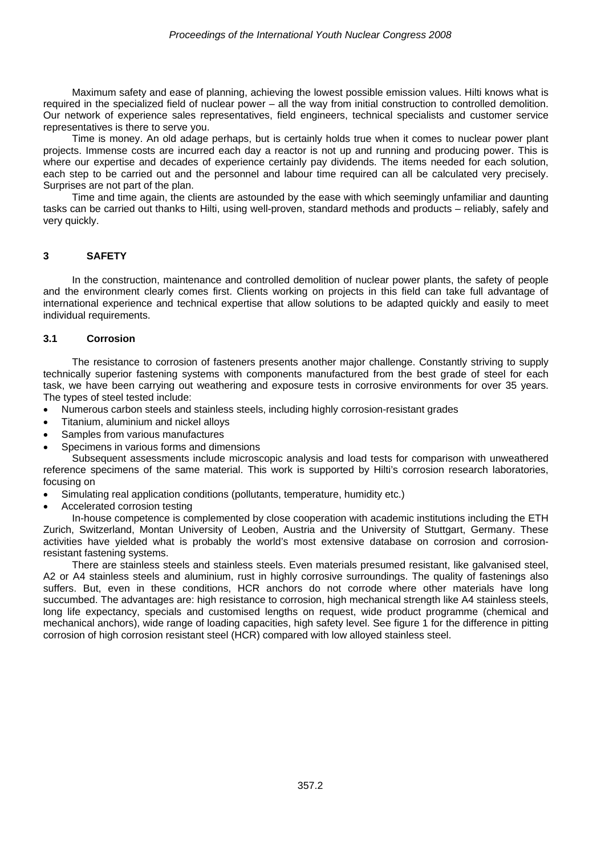Maximum safety and ease of planning, achieving the lowest possible emission values. Hilti knows what is required in the specialized field of nuclear power – all the way from initial construction to controlled demolition. Our network of experience sales representatives, field engineers, technical specialists and customer service representatives is there to serve you.

Time is money. An old adage perhaps, but is certainly holds true when it comes to nuclear power plant projects. Immense costs are incurred each day a reactor is not up and running and producing power. This is where our expertise and decades of experience certainly pay dividends. The items needed for each solution, each step to be carried out and the personnel and labour time required can all be calculated very precisely. Surprises are not part of the plan.

Time and time again, the clients are astounded by the ease with which seemingly unfamiliar and daunting tasks can be carried out thanks to Hilti, using well-proven, standard methods and products – reliably, safely and very quickly.

## **3 SAFETY**

In the construction, maintenance and controlled demolition of nuclear power plants, the safety of people and the environment clearly comes first. Clients working on projects in this field can take full advantage of international experience and technical expertise that allow solutions to be adapted quickly and easily to meet individual requirements.

#### **3.1 Corrosion**

The resistance to corrosion of fasteners presents another major challenge. Constantly striving to supply technically superior fastening systems with components manufactured from the best grade of steel for each task, we have been carrying out weathering and exposure tests in corrosive environments for over 35 years. The types of steel tested include:

- Numerous carbon steels and stainless steels, including highly corrosion-resistant grades
- Titanium, aluminium and nickel alloys
- Samples from various manufactures
- Specimens in various forms and dimensions

Subsequent assessments include microscopic analysis and load tests for comparison with unweathered reference specimens of the same material. This work is supported by Hilti's corrosion research laboratories, focusing on

- Simulating real application conditions (pollutants, temperature, humidity etc.)
- Accelerated corrosion testing

In-house competence is complemented by close cooperation with academic institutions including the ETH Zurich, Switzerland, Montan University of Leoben, Austria and the University of Stuttgart, Germany. These activities have yielded what is probably the world's most extensive database on corrosion and corrosionresistant fastening systems.

There are stainless steels and stainless steels. Even materials presumed resistant, like galvanised steel, A2 or A4 stainless steels and aluminium, rust in highly corrosive surroundings. The quality of fastenings also suffers. But, even in these conditions, HCR anchors do not corrode where other materials have long succumbed. The advantages are: high resistance to corrosion, high mechanical strength like A4 stainless steels, long life expectancy, specials and customised lengths on request, wide product programme (chemical and mechanical anchors), wide range of loading capacities, high safety level. See figure 1 for the difference in pitting corrosion of high corrosion resistant steel (HCR) compared with low alloyed stainless steel.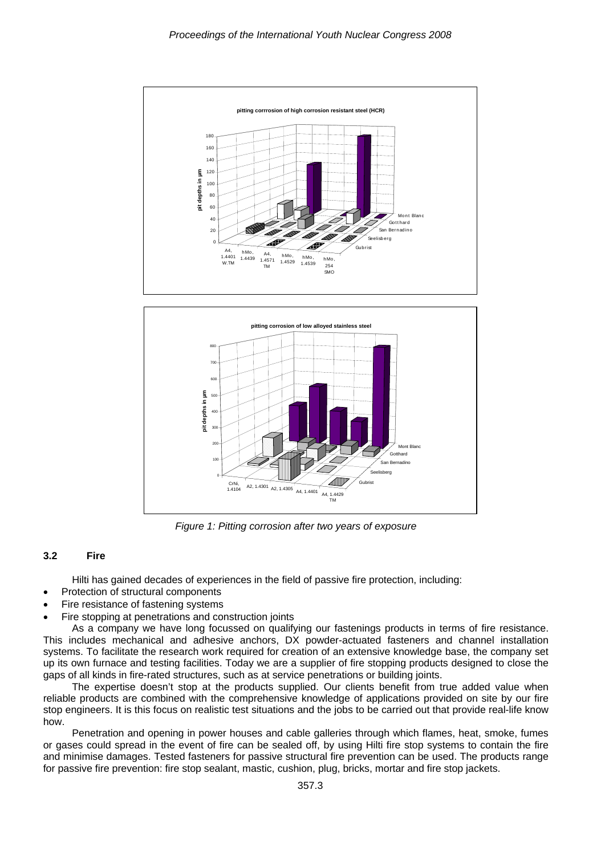



*Figure 1: Pitting corrosion after two years of exposure* 

#### **3.2 Fire**

Hilti has gained decades of experiences in the field of passive fire protection, including:

- Protection of structural components
- Fire resistance of fastening systems
- Fire stopping at penetrations and construction joints

As a company we have long focussed on qualifying our fastenings products in terms of fire resistance. This includes mechanical and adhesive anchors, DX powder-actuated fasteners and channel installation systems. To facilitate the research work required for creation of an extensive knowledge base, the company set up its own furnace and testing facilities. Today we are a supplier of fire stopping products designed to close the gaps of all kinds in fire-rated structures, such as at service penetrations or building joints.

The expertise doesn't stop at the products supplied. Our clients benefit from true added value when reliable products are combined with the comprehensive knowledge of applications provided on site by our fire stop engineers. It is this focus on realistic test situations and the jobs to be carried out that provide real-life know how.

Penetration and opening in power houses and cable galleries through which flames, heat, smoke, fumes or gases could spread in the event of fire can be sealed off, by using Hilti fire stop systems to contain the fire and minimise damages. Tested fasteners for passive structural fire prevention can be used. The products range for passive fire prevention: fire stop sealant, mastic, cushion, plug, bricks, mortar and fire stop jackets.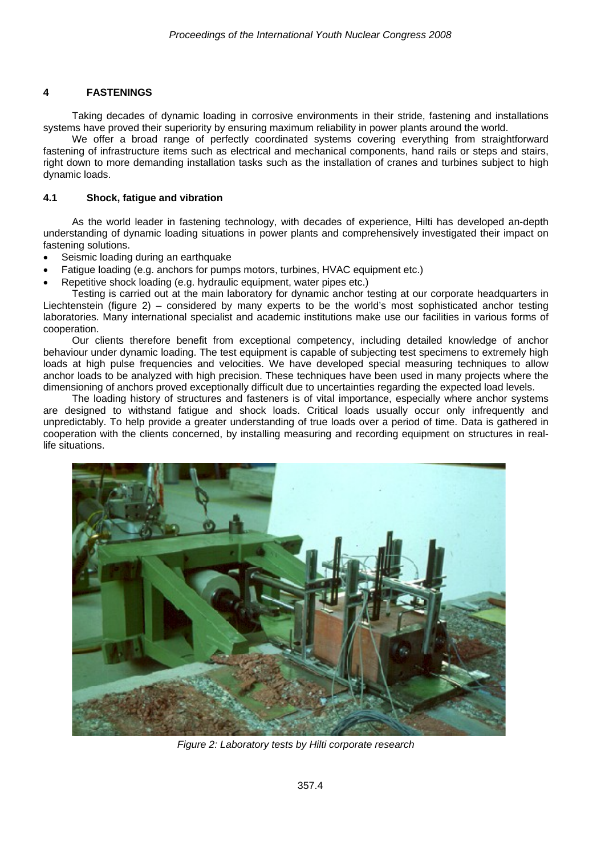# **4 FASTENINGS**

Taking decades of dynamic loading in corrosive environments in their stride, fastening and installations systems have proved their superiority by ensuring maximum reliability in power plants around the world.

We offer a broad range of perfectly coordinated systems covering everything from straightforward fastening of infrastructure items such as electrical and mechanical components, hand rails or steps and stairs, right down to more demanding installation tasks such as the installation of cranes and turbines subject to high dynamic loads.

#### **4.1 Shock, fatigue and vibration**

As the world leader in fastening technology, with decades of experience, Hilti has developed an-depth understanding of dynamic loading situations in power plants and comprehensively investigated their impact on fastening solutions.

- Seismic loading during an earthquake
- Fatigue loading (e.g. anchors for pumps motors, turbines, HVAC equipment etc.)
- Repetitive shock loading (e.g. hydraulic equipment, water pipes etc.)

Testing is carried out at the main laboratory for dynamic anchor testing at our corporate headquarters in Liechtenstein (figure 2) – considered by many experts to be the world's most sophisticated anchor testing laboratories. Many international specialist and academic institutions make use our facilities in various forms of cooperation.

Our clients therefore benefit from exceptional competency, including detailed knowledge of anchor behaviour under dynamic loading. The test equipment is capable of subjecting test specimens to extremely high loads at high pulse frequencies and velocities. We have developed special measuring techniques to allow anchor loads to be analyzed with high precision. These techniques have been used in many projects where the dimensioning of anchors proved exceptionally difficult due to uncertainties regarding the expected load levels.

The loading history of structures and fasteners is of vital importance, especially where anchor systems are designed to withstand fatigue and shock loads. Critical loads usually occur only infrequently and unpredictably. To help provide a greater understanding of true loads over a period of time. Data is gathered in cooperation with the clients concerned, by installing measuring and recording equipment on structures in reallife situations.



*Figure 2: Laboratory tests by Hilti corporate research*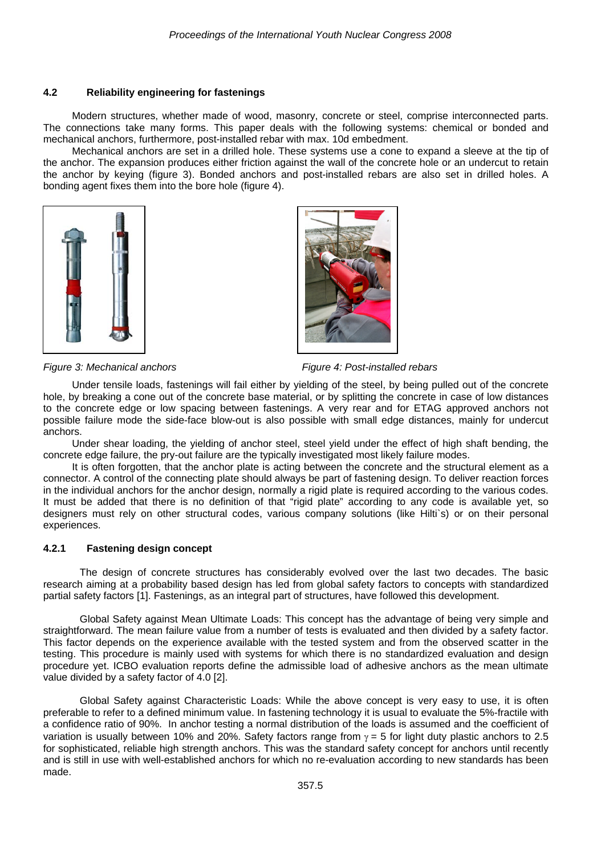#### **4.2 Reliability engineering for fastenings**

Modern structures, whether made of wood, masonry, concrete or steel, comprise interconnected parts. The connections take many forms. This paper deals with the following systems: chemical or bonded and mechanical anchors, furthermore, post-installed rebar with max. 10d embedment.

Mechanical anchors are set in a drilled hole. These systems use a cone to expand a sleeve at the tip of the anchor. The expansion produces either friction against the wall of the concrete hole or an undercut to retain the anchor by keying (figure 3). Bonded anchors and post-installed rebars are also set in drilled holes. A bonding agent fixes them into the bore hole (figure 4).



*Figure 3: Mechanical anchors Figure 4: Post-installed rebars* 

Under tensile loads, fastenings will fail either by yielding of the steel, by being pulled out of the concrete hole, by breaking a cone out of the concrete base material, or by splitting the concrete in case of low distances to the concrete edge or low spacing between fastenings. A very rear and for ETAG approved anchors not possible failure mode the side-face blow-out is also possible with small edge distances, mainly for undercut anchors.

Under shear loading, the yielding of anchor steel, steel yield under the effect of high shaft bending, the concrete edge failure, the pry-out failure are the typically investigated most likely failure modes.

It is often forgotten, that the anchor plate is acting between the concrete and the structural element as a connector. A control of the connecting plate should always be part of fastening design. To deliver reaction forces in the individual anchors for the anchor design, normally a rigid plate is required according to the various codes. It must be added that there is no definition of that "rigid plate" according to any code is available yet, so designers must rely on other structural codes, various company solutions (like Hilti`s) or on their personal experiences.

## **4.2.1 Fastening design concept**

The design of concrete structures has considerably evolved over the last two decades. The basic research aiming at a probability based design has led from global safety factors to concepts with standardized partial safety factors [1]. Fastenings, as an integral part of structures, have followed this development.

Global Safety against Mean Ultimate Loads: This concept has the advantage of being very simple and straightforward. The mean failure value from a number of tests is evaluated and then divided by a safety factor. This factor depends on the experience available with the tested system and from the observed scatter in the testing. This procedure is mainly used with systems for which there is no standardized evaluation and design procedure yet. ICBO evaluation reports define the admissible load of adhesive anchors as the mean ultimate value divided by a safety factor of 4.0 [2].

Global Safety against Characteristic Loads: While the above concept is very easy to use, it is often preferable to refer to a defined minimum value. In fastening technology it is usual to evaluate the 5%-fractile with a confidence ratio of 90%. In anchor testing a normal distribution of the loads is assumed and the coefficient of variation is usually between 10% and 20%. Safety factors range from  $\gamma = 5$  for light duty plastic anchors to 2.5 for sophisticated, reliable high strength anchors. This was the standard safety concept for anchors until recently and is still in use with well-established anchors for which no re-evaluation according to new standards has been made.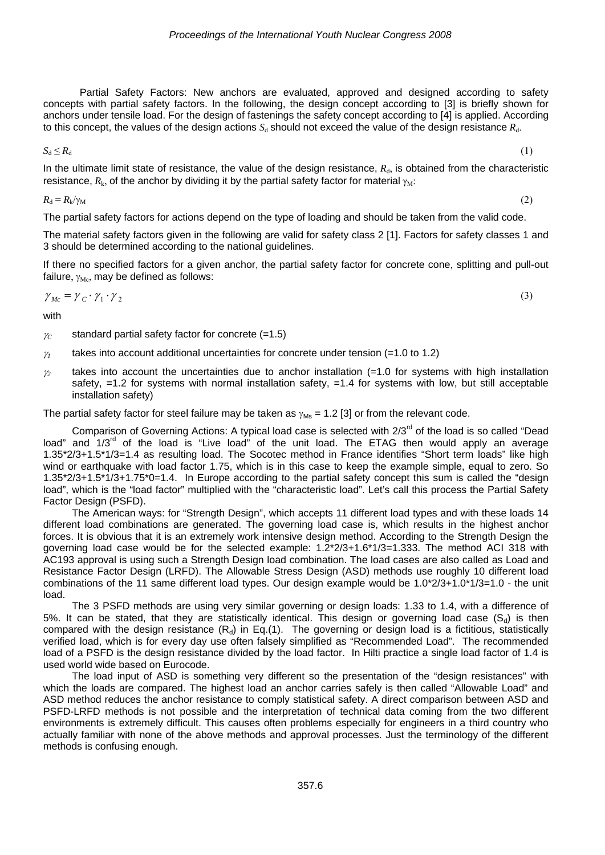Partial Safety Factors: New anchors are evaluated, approved and designed according to safety concepts with partial safety factors. In the following, the design concept according to [3] is briefly shown for anchors under tensile load. For the design of fastenings the safety concept according to [4] is applied. According to this concept, the values of the design actions  $S_d$  should not exceed the value of the design resistance  $R_d$ .

$$
S_d \le R_d \tag{1}
$$

In the ultimate limit state of resistance, the value of the design resistance,  $R<sub>d</sub>$ , is obtained from the characteristic resistance,  $R_k$ , of the anchor by dividing it by the partial safety factor for material  $\gamma_M$ :

$$
R_{\rm d} = R_{\rm k}/\gamma_{\rm M} \tag{2}
$$

The partial safety factors for actions depend on the type of loading and should be taken from the valid code.

The material safety factors given in the following are valid for safety class 2 [1]. Factors for safety classes 1 and 3 should be determined according to the national guidelines.

If there no specified factors for a given anchor, the partial safety factor for concrete cone, splitting and pull-out failure,  $\gamma_{\text{Mc}}$ , may be defined as follows:

$$
\gamma_{Mc} = \gamma_C \cdot \gamma_1 \cdot \gamma_2 \tag{3}
$$

with

- $\gamma_c$  standard partial safety factor for concrete (=1.5)
- $\gamma_1$  takes into account additional uncertainties for concrete under tension (=1.0 to 1.2)
- <sup>γ</sup>*<sup>2</sup>* takes into account the uncertainties due to anchor installation (=1.0 for systems with high installation safety,  $=1.2$  for systems with normal installation safety,  $=1.4$  for systems with low, but still acceptable installation safety)

The partial safety factor for steel failure may be taken as  $\gamma_{\text{Ms}} = 1.2$  [3] or from the relevant code.

Comparison of Governing Actions: A typical load case is selected with 2/3<sup>rd</sup> of the load is so called "Dead load" and 1/3<sup>rd</sup> of the load is "Live load" of the unit load. The ETAG then would apply an average 1.35\*2/3+1.5\*1/3=1.4 as resulting load. The Socotec method in France identifies "Short term loads" like high wind or earthquake with load factor 1.75, which is in this case to keep the example simple, equal to zero. So 1.35\*2/3+1.5\*1/3+1.75\*0=1.4. In Europe according to the partial safety concept this sum is called the "design load", which is the "load factor" multiplied with the "characteristic load". Let's call this process the Partial Safety Factor Design (PSFD).

The American ways: for "Strength Design", which accepts 11 different load types and with these loads 14 different load combinations are generated. The governing load case is, which results in the highest anchor forces. It is obvious that it is an extremely work intensive design method. According to the Strength Design the governing load case would be for the selected example: 1.2\*2/3+1.6\*1/3=1.333. The method ACI 318 with AC193 approval is using such a Strength Design load combination. The load cases are also called as Load and Resistance Factor Design (LRFD). The Allowable Stress Design (ASD) methods use roughly 10 different load combinations of the 11 same different load types. Our design example would be 1.0\*2/3+1.0\*1/3=1.0 - the unit load.

The 3 PSFD methods are using very similar governing or design loads: 1.33 to 1.4, with a difference of 5%. It can be stated, that they are statistically identical. This design or governing load case  $(S_d)$  is then compared with the design resistance  $(R_d)$  in Eq.(1). The governing or design load is a fictitious, statistically verified load, which is for every day use often falsely simplified as "Recommended Load". The recommended load of a PSFD is the design resistance divided by the load factor. In Hilti practice a single load factor of 1.4 is used world wide based on Eurocode.

The load input of ASD is something very different so the presentation of the "design resistances" with which the loads are compared. The highest load an anchor carries safely is then called "Allowable Load" and ASD method reduces the anchor resistance to comply statistical safety. A direct comparison between ASD and PSFD-LRFD methods is not possible and the interpretation of technical data coming from the two different environments is extremely difficult. This causes often problems especially for engineers in a third country who actually familiar with none of the above methods and approval processes. Just the terminology of the different methods is confusing enough.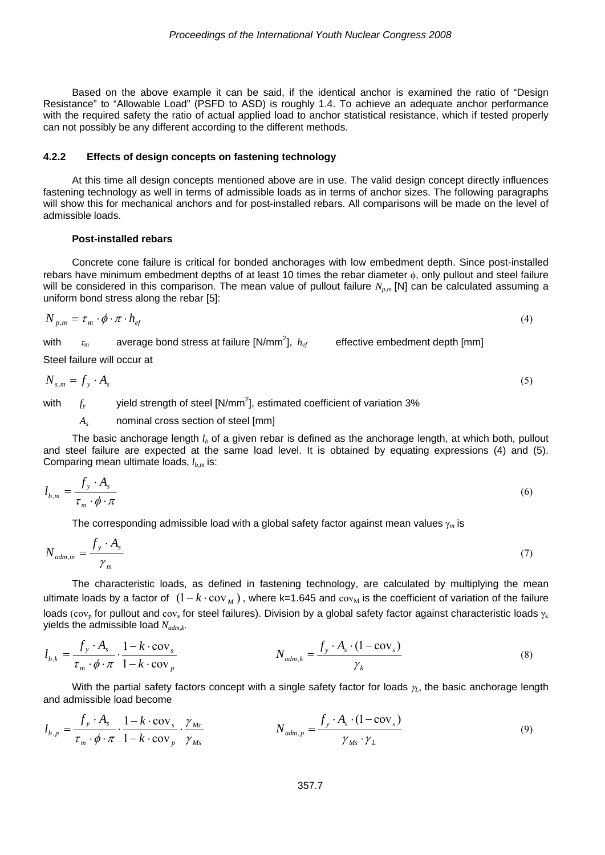Based on the above example it can be said, if the identical anchor is examined the ratio of "Design Resistance" to "Allowable Load" (PSFD to ASD) is roughly 1.4. To achieve an adequate anchor performance with the required safety the ratio of actual applied load to anchor statistical resistance, which if tested properly can not possibly be any different according to the different methods.

#### **4.2.2 Effects of design concepts on fastening technology**

At this time all design concepts mentioned above are in use. The valid design concept directly influences fastening technology as well in terms of admissible loads as in terms of anchor sizes. The following paragraphs will show this for mechanical anchors and for post-installed rebars. All comparisons will be made on the level of admissible loads.

#### **Post-installed rebars**

Concrete cone failure is critical for bonded anchorages with low embedment depth. Since post-installed rebars have minimum embedment depths of at least 10 times the rebar diameter φ, only pullout and steel failure will be considered in this comparison. The mean value of pullout failure  $N_{p,m}$  [N] can be calculated assuming a uniform bond stress along the rebar [5]:

$$
N_{p,m} = \tau_m \cdot \phi \cdot \pi \cdot h_{ef} \tag{4}
$$

with  $\tau_m$  average bond stress at failure [N/mm<sup>2</sup>],  $\,_{ef}$  effective embedment depth [mm]

Steel failure will occur at

$$
N_{s,m} = f_y \cdot A_s \tag{5}
$$

with  $f_y$  yield strength of steel [N/mm<sup>2</sup>], estimated coefficient of variation 3%

*As* nominal cross section of steel [mm]

The basic anchorage length  $l_b$  of a given rebar is defined as the anchorage length, at which both, pullout and steel failure are expected at the same load level. It is obtained by equating expressions (4) and (5). Comparing mean ultimate loads,  $l_{bm}$  is:

$$
l_{b,m} = \frac{f_y \cdot A_s}{\tau_m \cdot \phi \cdot \pi} \tag{6}
$$

The corresponding admissible load with a global safety factor against mean values γ*<sup>m</sup>* is

$$
N_{\text{adm,m}} = \frac{f_y \cdot A_s}{\gamma_m} \tag{7}
$$

The characteristic loads, as defined in fastening technology, are calculated by multiplying the mean ultimate loads by a factor of  $(1 - k \cdot cov_{M})$ , where k=1.645 and cov<sub>M</sub> is the coefficient of variation of the failure loads (cov<sub>p</sub> for pullout and cov<sub>s</sub> for steel failures). Division by a global safety factor against characteristic loads  $\gamma_k$ yields the admissible load *Nadm,k*.

$$
l_{b,k} = \frac{f_y \cdot A_s}{\tau_m \cdot \phi \cdot \pi} \cdot \frac{1 - k \cdot \text{cov}_s}{1 - k \cdot \text{cov}_p}
$$
  

$$
N_{adm,k} = \frac{f_y \cdot A_s \cdot (1 - \text{cov}_s)}{\gamma_k}
$$
 (8)

With the partial safety factors concept with a single safety factor for loads *γ*<sub>λ</sub>, the basic anchorage length and admissible load become

$$
l_{b,p} = \frac{f_y \cdot A_s}{\tau_m \cdot \phi \cdot \pi} \cdot \frac{1 - k \cdot \text{cov}_s}{1 - k \cdot \text{cov}_p} \cdot \frac{\gamma_{Mc}}{\gamma_{Ms}} \qquad N_{adm,p} = \frac{f_y \cdot A_s \cdot (1 - \text{cov}_s)}{\gamma_{Ms} \cdot \gamma_L} \tag{9}
$$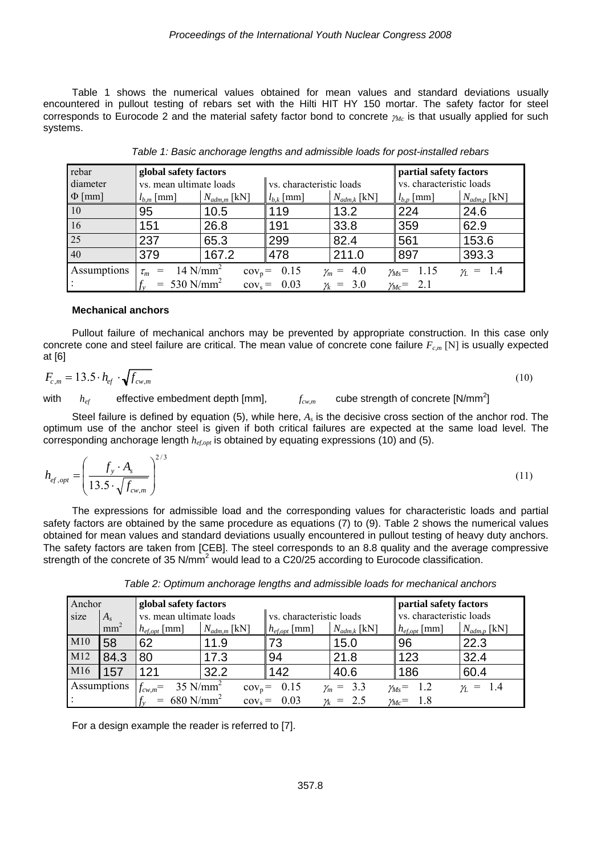Table 1 shows the numerical values obtained for mean values and standard deviations usually encountered in pullout testing of rebars set with the Hilti HIT HY 150 mortar. The safety factor for steel corresponds to Eurocode 2 and the material safety factor bond to concrete <sup>γ</sup>*Mc* is that usually applied for such systems.

| rebar           | global safety factors                                                                                                   |                  | partial safety factors   |                  |                          |                  |  |
|-----------------|-------------------------------------------------------------------------------------------------------------------------|------------------|--------------------------|------------------|--------------------------|------------------|--|
| diameter        | vs. mean ultimate loads                                                                                                 |                  | vs. characteristic loads |                  | vs. characteristic loads |                  |  |
| $\Phi$ [mm]     | $l_{b,m}$ [mm]                                                                                                          | $N_{adm,m}$ [kN] | $l_{b,k}$ [mm]           | $N_{adm,k}$ [kN] | $l_{b,p}$ [mm]           | $N_{adm,p}$ [kN] |  |
| 10              | 95                                                                                                                      | 10.5             | 119                      | 13.2             | 224                      | 24.6             |  |
| 16              | 151                                                                                                                     | 26.8             | 191                      | 33.8             | 359                      | 62.9             |  |
| $\overline{25}$ | 237                                                                                                                     | 65.3             | 299                      | 82.4             | 561                      | 153.6            |  |
| 40              | 379                                                                                                                     | 167.2            | 478                      | 211.0            | 897                      | 393.3            |  |
| Assumptions     | $14$ N/mm <sup>2</sup><br>$cov_p = 0.15$<br>4.0<br>$\gamma_L = 1.4$<br>$\gamma_{Ms} = 1.15$<br>$\gamma_m =$<br>$\tau_m$ |                  |                          |                  |                          |                  |  |
|                 | $= 530$ N/mm <sup>2</sup>                                                                                               |                  | $cov_s = 0.03$           | $\gamma_k = 3.0$ | $\gamma_{Mc}$ = 2.1      |                  |  |

*Table 1: Basic anchorage lengths and admissible loads for post-installed rebars* 

#### **Mechanical anchors**

Pullout failure of mechanical anchors may be prevented by appropriate construction. In this case only concrete cone and steel failure are critical. The mean value of concrete cone failure  $F_{c,m}$  [N] is usually expected at [6]

$$
F_{c,m} = 13.5 \cdot h_{ef} \cdot \sqrt{f_{cw,m}}
$$
\n<sup>(10)</sup>

with  $h_{ef}$  effective embedment depth [mm],  $f_{cw,m}$  cube strength of concrete [N/mm<sup>2</sup>]

Steel failure is defined by equation (5), while here, *As* is the decisive cross section of the anchor rod. The optimum use of the anchor steel is given if both critical failures are expected at the same load level. The corresponding anchorage length  $h_{ef, opt}$  is obtained by equating expressions (10) and (5).

$$
h_{ef,opt} = \left(\frac{f_y \cdot A_s}{13.5 \cdot \sqrt{f_{cw,m}}}\right)^{2/3} \tag{11}
$$

The expressions for admissible load and the corresponding values for characteristic loads and partial safety factors are obtained by the same procedure as equations (7) to (9). Table 2 shows the numerical values obtained for mean values and standard deviations usually encountered in pullout testing of heavy duty anchors. The safety factors are taken from [CEB]. The steel corresponds to an 8.8 quality and the average compressive strength of the concrete of 35 N/mm<sup>2</sup> would lead to a C20/25 according to Eurocode classification.

|      | Anchor<br>global safety factors |                           |                         |                            |                  | partial safety factors   |                  |
|------|---------------------------------|---------------------------|-------------------------|----------------------------|------------------|--------------------------|------------------|
| size | А,                              | l vs. mean ultimate loads |                         | I vs. characteristic loads |                  | vs. characteristic loads |                  |
|      | mm <sup>-</sup>                 | $h_{ef,out}$   mm         | $N_{\text{adm.m}}$ [kN] | $h_{ef, opt}$ [mm]         | $N_{adm,k}$ [kN] | $h_{ef, opt}$ [mm]       | $N_{adm,p}$ [kN] |

M10 58 62 11.9 73 15.0 96 22.3 M12 84.3 80 17.3 84 21.8 123 32.4 M16 157 121 23.2 142 40.6 186 60.4

*Table 2: Optimum anchorage lengths and admissible loads for mechanical anchors* 

For a design example the reader is referred to [7].

*f* 680 N/mm<sup>2</sup>

 $f_{cw,m}$  = 35 N/mm<sup>2</sup>

Assumptions

:

cov<sub>p</sub> = 0.15  $\gamma_m = 3.3$   $\gamma_{Ms} = 1.2$   $\gamma_L = 1.4$ 

 $cov_s = 0.03$   $\gamma_k = 2.5$   $\gamma_{Mc} = 1.8$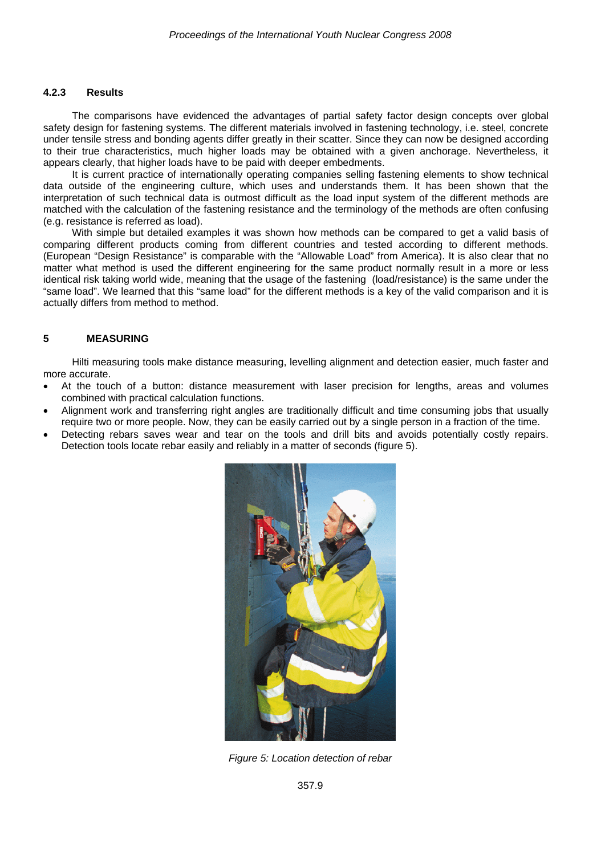#### **4.2.3 Results**

The comparisons have evidenced the advantages of partial safety factor design concepts over global safety design for fastening systems. The different materials involved in fastening technology, i.e. steel, concrete under tensile stress and bonding agents differ greatly in their scatter. Since they can now be designed according to their true characteristics, much higher loads may be obtained with a given anchorage. Nevertheless, it appears clearly, that higher loads have to be paid with deeper embedments.

It is current practice of internationally operating companies selling fastening elements to show technical data outside of the engineering culture, which uses and understands them. It has been shown that the interpretation of such technical data is outmost difficult as the load input system of the different methods are matched with the calculation of the fastening resistance and the terminology of the methods are often confusing (e.g. resistance is referred as load).

With simple but detailed examples it was shown how methods can be compared to get a valid basis of comparing different products coming from different countries and tested according to different methods. (European "Design Resistance" is comparable with the "Allowable Load" from America). It is also clear that no matter what method is used the different engineering for the same product normally result in a more or less identical risk taking world wide, meaning that the usage of the fastening (load/resistance) is the same under the "same load". We learned that this "same load" for the different methods is a key of the valid comparison and it is actually differs from method to method.

## **5 MEASURING**

Hilti measuring tools make distance measuring, levelling alignment and detection easier, much faster and more accurate.

- At the touch of a button: distance measurement with laser precision for lengths, areas and volumes combined with practical calculation functions.
- Alignment work and transferring right angles are traditionally difficult and time consuming jobs that usually require two or more people. Now, they can be easily carried out by a single person in a fraction of the time.
- Detecting rebars saves wear and tear on the tools and drill bits and avoids potentially costly repairs. Detection tools locate rebar easily and reliably in a matter of seconds (figure 5).



*Figure 5: Location detection of rebar*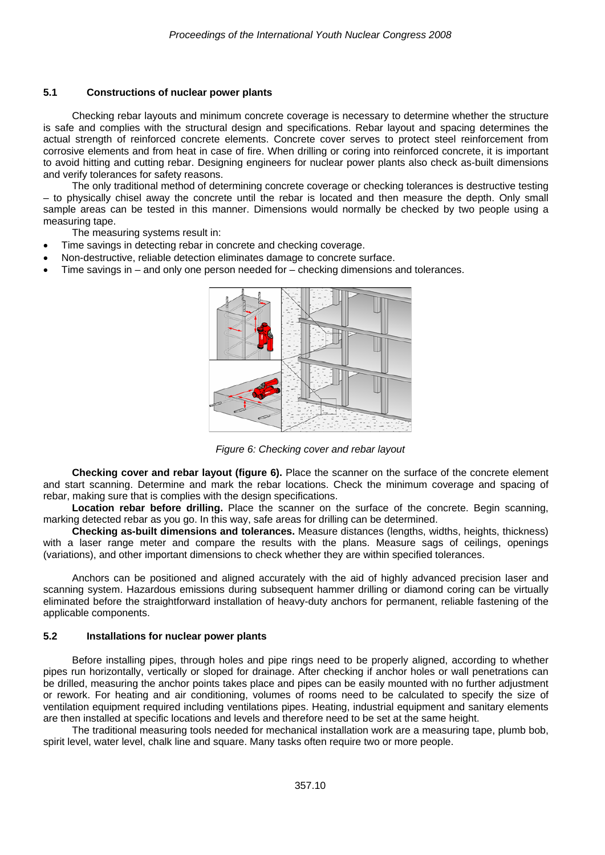#### **5.1 Constructions of nuclear power plants**

Checking rebar layouts and minimum concrete coverage is necessary to determine whether the structure is safe and complies with the structural design and specifications. Rebar layout and spacing determines the actual strength of reinforced concrete elements. Concrete cover serves to protect steel reinforcement from corrosive elements and from heat in case of fire. When drilling or coring into reinforced concrete, it is important to avoid hitting and cutting rebar. Designing engineers for nuclear power plants also check as-built dimensions and verify tolerances for safety reasons.

The only traditional method of determining concrete coverage or checking tolerances is destructive testing – to physically chisel away the concrete until the rebar is located and then measure the depth. Only small sample areas can be tested in this manner. Dimensions would normally be checked by two people using a measuring tape.

The measuring systems result in:

- Time savings in detecting rebar in concrete and checking coverage.
- Non-destructive, reliable detection eliminates damage to concrete surface.
- Time savings in  $-$  and only one person needed for  $-$  checking dimensions and tolerances.



*Figure 6: Checking cover and rebar layout* 

**Checking cover and rebar layout (figure 6).** Place the scanner on the surface of the concrete element and start scanning. Determine and mark the rebar locations. Check the minimum coverage and spacing of rebar, making sure that is complies with the design specifications.

Location rebar before drilling. Place the scanner on the surface of the concrete. Begin scanning, marking detected rebar as you go. In this way, safe areas for drilling can be determined.

**Checking as-built dimensions and tolerances.** Measure distances (lengths, widths, heights, thickness) with a laser range meter and compare the results with the plans. Measure sags of ceilings, openings (variations), and other important dimensions to check whether they are within specified tolerances.

Anchors can be positioned and aligned accurately with the aid of highly advanced precision laser and scanning system. Hazardous emissions during subsequent hammer drilling or diamond coring can be virtually eliminated before the straightforward installation of heavy-duty anchors for permanent, reliable fastening of the applicable components.

#### **5.2 Installations for nuclear power plants**

Before installing pipes, through holes and pipe rings need to be properly aligned, according to whether pipes run horizontally, vertically or sloped for drainage. After checking if anchor holes or wall penetrations can be drilled, measuring the anchor points takes place and pipes can be easily mounted with no further adjustment or rework. For heating and air conditioning, volumes of rooms need to be calculated to specify the size of ventilation equipment required including ventilations pipes. Heating, industrial equipment and sanitary elements are then installed at specific locations and levels and therefore need to be set at the same height.

The traditional measuring tools needed for mechanical installation work are a measuring tape, plumb bob, spirit level, water level, chalk line and square. Many tasks often require two or more people.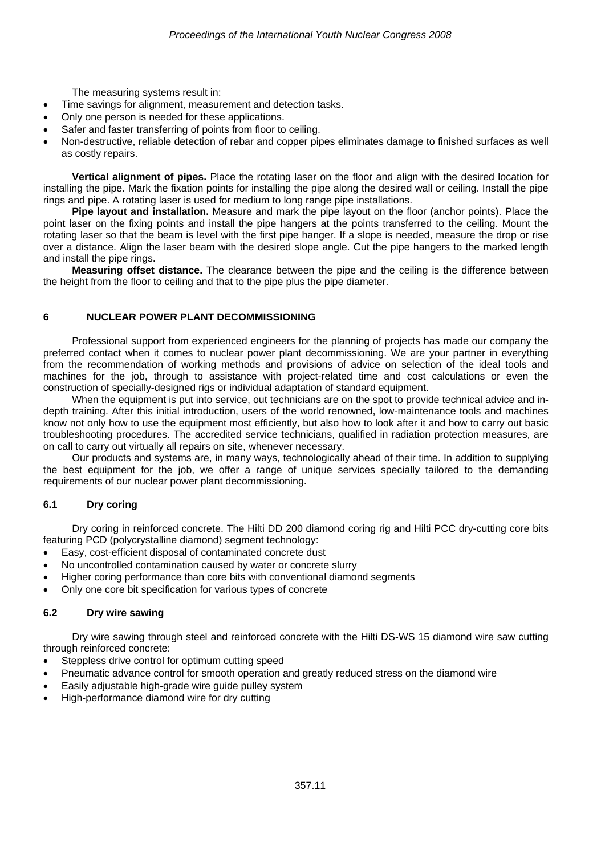The measuring systems result in:

- Time savings for alignment, measurement and detection tasks.
- Only one person is needed for these applications.
- Safer and faster transferring of points from floor to ceiling.
- Non-destructive, reliable detection of rebar and copper pipes eliminates damage to finished surfaces as well as costly repairs.

**Vertical alignment of pipes.** Place the rotating laser on the floor and align with the desired location for installing the pipe. Mark the fixation points for installing the pipe along the desired wall or ceiling. Install the pipe rings and pipe. A rotating laser is used for medium to long range pipe installations.

**Pipe layout and installation.** Measure and mark the pipe layout on the floor (anchor points). Place the point laser on the fixing points and install the pipe hangers at the points transferred to the ceiling. Mount the rotating laser so that the beam is level with the first pipe hanger. If a slope is needed, measure the drop or rise over a distance. Align the laser beam with the desired slope angle. Cut the pipe hangers to the marked length and install the pipe rings.

**Measuring offset distance.** The clearance between the pipe and the ceiling is the difference between the height from the floor to ceiling and that to the pipe plus the pipe diameter.

# **6 NUCLEAR POWER PLANT DECOMMISSIONING**

Professional support from experienced engineers for the planning of projects has made our company the preferred contact when it comes to nuclear power plant decommissioning. We are your partner in everything from the recommendation of working methods and provisions of advice on selection of the ideal tools and machines for the job, through to assistance with project-related time and cost calculations or even the construction of specially-designed rigs or individual adaptation of standard equipment.

When the equipment is put into service, out technicians are on the spot to provide technical advice and indepth training. After this initial introduction, users of the world renowned, low-maintenance tools and machines know not only how to use the equipment most efficiently, but also how to look after it and how to carry out basic troubleshooting procedures. The accredited service technicians, qualified in radiation protection measures, are on call to carry out virtually all repairs on site, whenever necessary.

Our products and systems are, in many ways, technologically ahead of their time. In addition to supplying the best equipment for the job, we offer a range of unique services specially tailored to the demanding requirements of our nuclear power plant decommissioning.

# **6.1 Dry coring**

Dry coring in reinforced concrete. The Hilti DD 200 diamond coring rig and Hilti PCC dry-cutting core bits featuring PCD (polycrystalline diamond) segment technology:

- Easy, cost-efficient disposal of contaminated concrete dust
- No uncontrolled contamination caused by water or concrete slurry
- Higher coring performance than core bits with conventional diamond segments
- Only one core bit specification for various types of concrete

## **6.2 Dry wire sawing**

Dry wire sawing through steel and reinforced concrete with the Hilti DS-WS 15 diamond wire saw cutting through reinforced concrete:

- Steppless drive control for optimum cutting speed
- Pneumatic advance control for smooth operation and greatly reduced stress on the diamond wire
- Easily adjustable high-grade wire guide pulley system
- High-performance diamond wire for dry cutting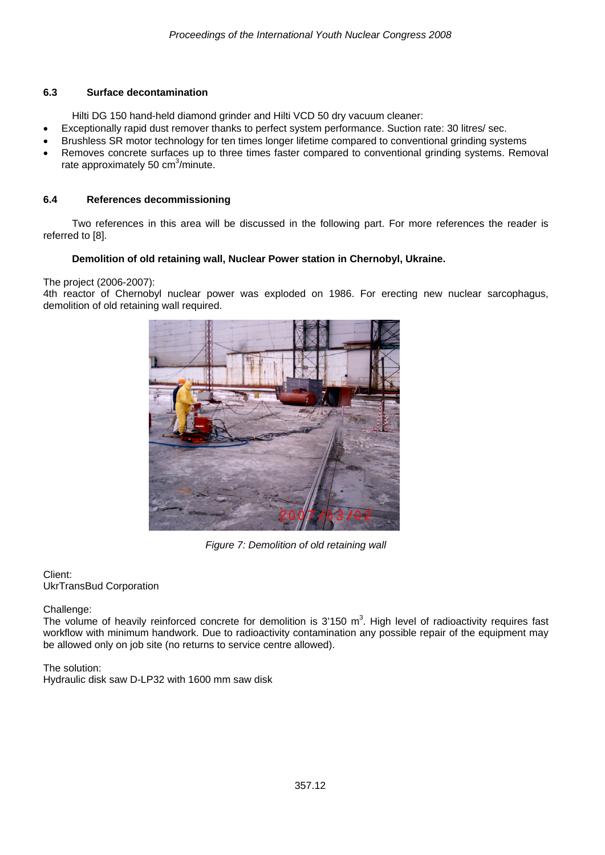# **6.3 Surface decontamination**

Hilti DG 150 hand-held diamond grinder and Hilti VCD 50 dry vacuum cleaner:

- Exceptionally rapid dust remover thanks to perfect system performance. Suction rate: 30 litres/ sec.
- Brushless SR motor technology for ten times longer lifetime compared to conventional grinding systems
- Removes concrete surfaces up to three times faster compared to conventional grinding systems. Removal rate approximately 50 cm<sup>3</sup>/minute.

## **6.4 References decommissioning**

Two references in this area will be discussed in the following part. For more references the reader is referred to [8].

# **Demolition of old retaining wall, Nuclear Power station in Chernobyl, Ukraine.**

## The project (2006-2007):

4th reactor of Chernobyl nuclear power was exploded on 1986. For erecting new nuclear sarcophagus, demolition of old retaining wall required.



*Figure 7: Demolition of old retaining wall* 

#### Client: UkrTransBud Corporation

## Challenge:

The volume of heavily reinforced concrete for demolition is  $3'150$  m<sup>3</sup>. High level of radioactivity requires fast workflow with minimum handwork. Due to radioactivity contamination any possible repair of the equipment may be allowed only on job site (no returns to service centre allowed).

# The solution:

Hydraulic disk saw D-LP32 with 1600 mm saw disk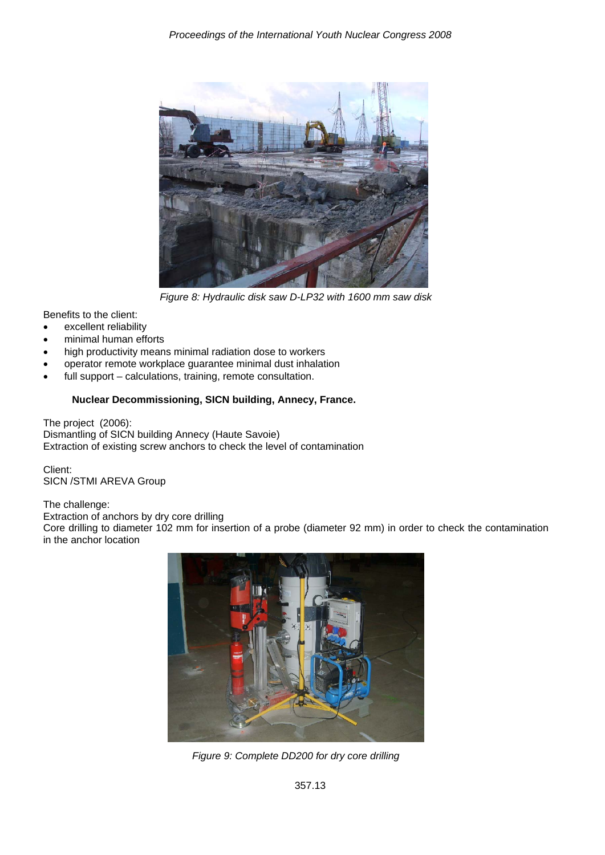

*Figure 8: Hydraulic disk saw D-LP32 with 1600 mm saw disk* 

Benefits to the client:

- excellent reliability
- minimal human efforts
- high productivity means minimal radiation dose to workers
- operator remote workplace guarantee minimal dust inhalation
- full support calculations, training, remote consultation.

# **Nuclear Decommissioning, SICN building, Annecy, France.**

The project (2006): Dismantling of SICN building Annecy (Haute Savoie) Extraction of existing screw anchors to check the level of contamination

Client: SICN /STMI AREVA Group

## The challenge:

Extraction of anchors by dry core drilling

Core drilling to diameter 102 mm for insertion of a probe (diameter 92 mm) in order to check the contamination in the anchor location



*Figure 9: Complete DD200 for dry core drilling*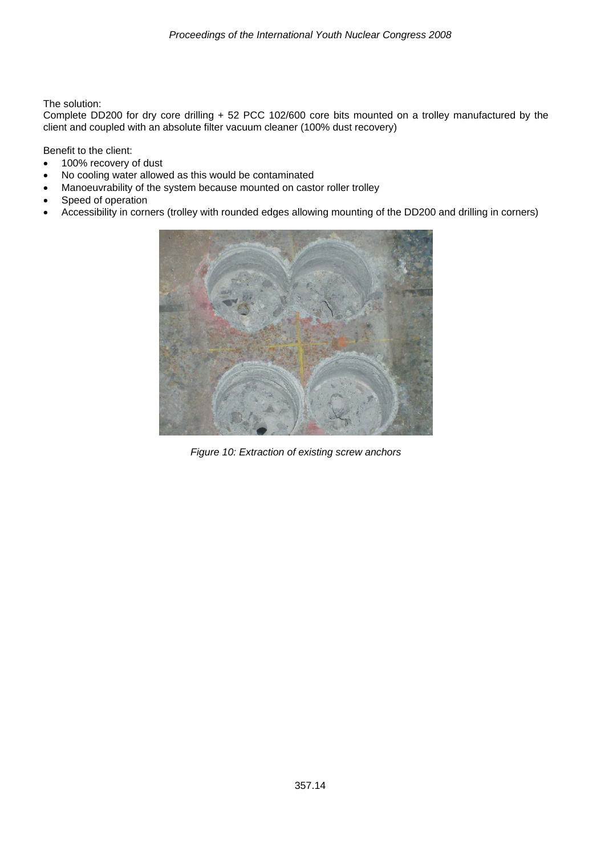The solution:

Complete DD200 for dry core drilling + 52 PCC 102/600 core bits mounted on a trolley manufactured by the client and coupled with an absolute filter vacuum cleaner (100% dust recovery)

Benefit to the client:

- 100% recovery of dust
- No cooling water allowed as this would be contaminated
- Manoeuvrability of the system because mounted on castor roller trolley
- Speed of operation
- Accessibility in corners (trolley with rounded edges allowing mounting of the DD200 and drilling in corners)



*Figure 10: Extraction of existing screw anchors*